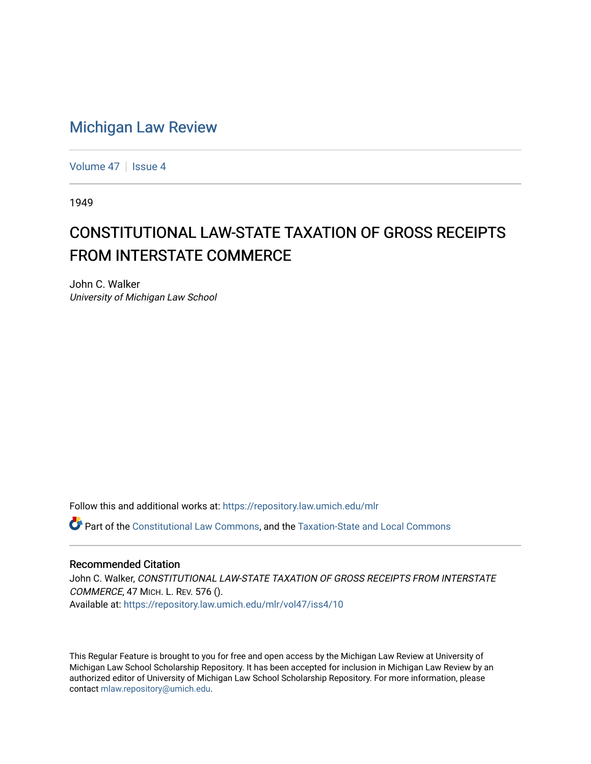## [Michigan Law Review](https://repository.law.umich.edu/mlr)

[Volume 47](https://repository.law.umich.edu/mlr/vol47) | [Issue 4](https://repository.law.umich.edu/mlr/vol47/iss4)

1949

## CONSTITUTIONAL LAW-STATE TAXATION OF GROSS RECEIPTS FROM INTERSTATE COMMERCE

John C. Walker University of Michigan Law School

Follow this and additional works at: [https://repository.law.umich.edu/mlr](https://repository.law.umich.edu/mlr?utm_source=repository.law.umich.edu%2Fmlr%2Fvol47%2Fiss4%2F10&utm_medium=PDF&utm_campaign=PDFCoverPages) 

Part of the [Constitutional Law Commons,](http://network.bepress.com/hgg/discipline/589?utm_source=repository.law.umich.edu%2Fmlr%2Fvol47%2Fiss4%2F10&utm_medium=PDF&utm_campaign=PDFCoverPages) and the [Taxation-State and Local Commons](http://network.bepress.com/hgg/discipline/882?utm_source=repository.law.umich.edu%2Fmlr%2Fvol47%2Fiss4%2F10&utm_medium=PDF&utm_campaign=PDFCoverPages)

## Recommended Citation

John C. Walker, CONSTITUTIONAL LAW-STATE TAXATION OF GROSS RECEIPTS FROM INTERSTATE COMMERCE, 47 MICH. L. REV. 576 (). Available at: [https://repository.law.umich.edu/mlr/vol47/iss4/10](https://repository.law.umich.edu/mlr/vol47/iss4/10?utm_source=repository.law.umich.edu%2Fmlr%2Fvol47%2Fiss4%2F10&utm_medium=PDF&utm_campaign=PDFCoverPages) 

This Regular Feature is brought to you for free and open access by the Michigan Law Review at University of Michigan Law School Scholarship Repository. It has been accepted for inclusion in Michigan Law Review by an authorized editor of University of Michigan Law School Scholarship Repository. For more information, please contact [mlaw.repository@umich.edu](mailto:mlaw.repository@umich.edu).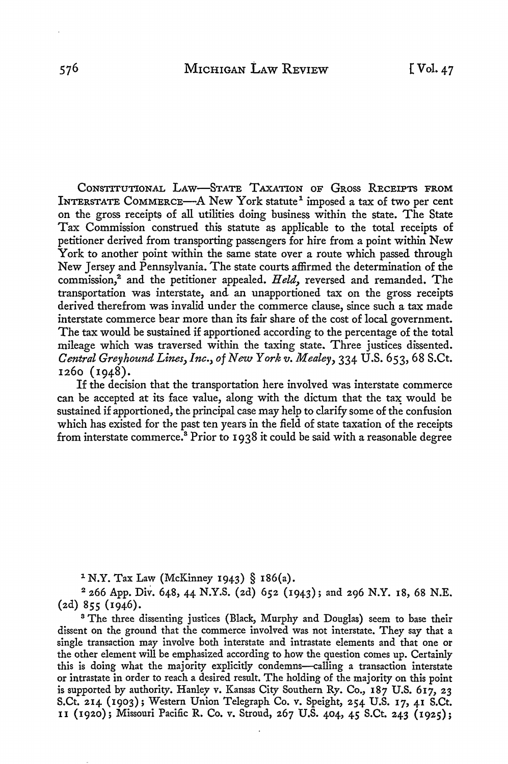CONSTITUTIONAL LAW-STATE TAXATION OF GROSS RECEIPTS FROM INTERSTATE COMMERCE—A New York statute<sup>1</sup> imposed a tax of two per cent on the gross receipts of all utilities doing business within the state. The State Tax Commission construed this statute as applicable to the total receipts of petitioner derived from transporting passengers for hire from a point within New York to another point within the same state over a route which passed through New Jersey and Pennsylvania. The state courts affirmed the determination of the commission,<sup>2</sup> and the petitioner appealed. Held, reversed and remanded. The transportation was interstate, and. an unapportioned tax on the gross receipts derived therefrom was invalid under the commerce clause, since such a tax made interstate commerce bear more than its fair share of the cost of local government. The tax would be sustained if apportioned according to the percentage of the total mileage which was traversed within the taxing state. Three justices dissented. *Central GreyhoundLines,Inc., of New Yorkv. Mealey,* 334 U.S. 653, 68 S.Ct. 1260 (1948).

If the decision that the transportation here involved was interstate commerce can be accepted at its face value, along with the dictum that the tax would be sustained if apportioned, the principal case may help to clarify some of the confusion which has existed for the past ten years in the field of state taxation of the receipts from interstate commerce.<sup>8</sup> Prior to 1938 it could be said with a reasonable degree

1 N.Y. Tax Law (McKinney 1943) § 186(a).

<sup>2</sup>266 App. Div. 648, 44 N.Y.S. (2d) 652 (1943); and 296 N.Y. 18, 68 N.E. (2d) 855 (1946).

<sup>3</sup> The three dissenting justices (Black, Murphy and Douglas) seem to base their dissent on the ground that the commerce involved was not interstate. They say that a single transaction may involve both interstate and intrastate elements and that one or the other element will be emphasized according to how the question comes up. Certainly this is doing what the majority explicitly condemns--calling a transaction interstate or intrastate in order to reach a desired result. The holding of the majority on this point is supported by authority. Hanley v. Kansas City Southern Ry. Co., 187 U.S. 617, 23 S.Ct. 214 (1903); Western Union Telegraph Co. v. Speight, 254 U.S. 17, 41 S.Ct. II (1920); Missouri Pacific R. Co. v. Stroud, 267 U.S. 404, 45 S.Ct. 243 (1925);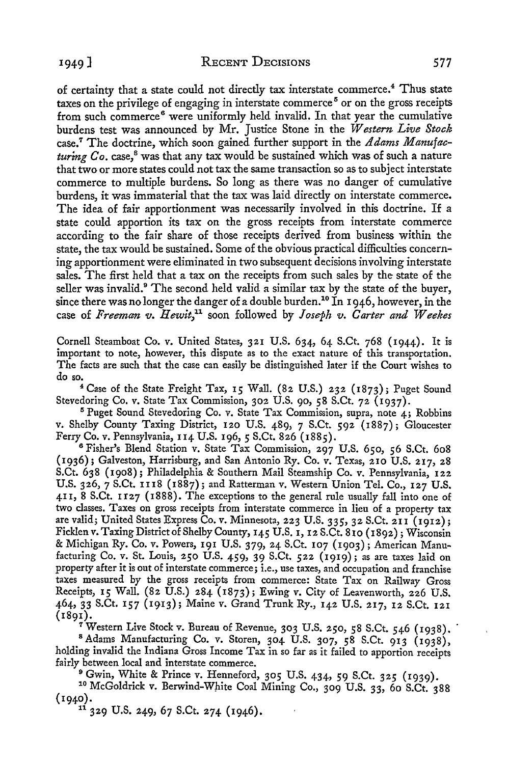of certainty that a state could not directly tax interstate commerce.<sup>4</sup> Thus state taxes on the privilege of engaging in interstate commerce<sup>5</sup> or on the gross receipts from such commerce<sup>6</sup> were uniformly held invalid. In that year the cumulative burdens test was announced by Mr. Justice Stone in the *Western Live Stock*  case.7 The doctrine, which soon gained further support in the *Adams Manufacturing Co.* case,<sup>8</sup> was that any tax would be sustained which was of such a nature that two or more states could not tax the same transaction so as to subject interstate commerce to multiple burdens. So long as there was no danger of cumulative burdens, it was immaterial that the tax was laid directly on interstate commerce. The idea of fair apportionment was necessarily involved in this doctrine. If a state could apportion its tax on the gross receipts from interstate commerce according to the fair share of those receipts derived from business within the state, the tax would be sustained. Some of the obvious practical difficulties concerning apportionment were eliminated in two subsequent decisions involving interstate sales. The first held that a tax on the receipts from such sales by the state of the seller was invalid.<sup>9</sup> The second held valid a similar tax by the state of the buyer, since there was no longer the danger of a double burden.<sup>10</sup> In 1946, however, in the case of *Freeman v. Hewit,<sup>11</sup>*soon followed by *Joseph v. Carter and Weekes* 

Cornell Steamboat Co. v. United States, 321 U.S. 634, 64 S.Ct. 768 (1944). It is important to note, however, this dispute as to the exact nature of this transportation. The facts are such that the case can easily be distinguished later if the Court wishes to do so.

<sup>4</sup>Case of the State Freight Tax, 15 Wall. (82 U.S.) 232 (1873); Puget Sound Stevedoring Co. v. State Tax Commission, 302 U.S. 90, 58 S.Ct. 72 (1937).

<sup>5</sup>Puget Sound Stevedoring Co. v. State Tax Commission, supra, note 4; Robbins v. Shelby County Taxing District, 120 U.S. 489, 7 S.Ct. 592 (1887); Gloucester Ferry Co. v. Pennsylvania, 114 U.S. 196, *5* S.Ct. 826 (1885).

<sup>6</sup> Fisher's Blend Station v. State Tax Commission, 297 U.S. 650, 56 S.Ct. 608 (1936); Galveston, Harrisburg, and San Antonio Ry. Co. v. Texas, 210 U.S. 217, 28 S.Ct. 638 (1908); Philadelphia & Southern Mail Steamship Co. v. Pennsylvania, 122 U.S. 326, 7 S.Ct. II 18 (1887); and Ratterman v. Western Union Tel. Co., 127 U.S. 411, 8 S.Ct. If27 (1888). The exceptions to the general rule usually fall into one of two classes. Taxes on gross receipts from interstate commerce in lieu of a property tax are valid; United States Express Co. v. Minnesota, 223 U.S. 335, 32 S.Ct.211 (1912); Ficklen v. Taxing District of Shelby County, 145 U.S. 1, 12 S.Ct. 810 (1892); Wisconsin & Michigan Ry. Co. v. Powers, 191 U.S. 379, 24 S.Ct. 107 (1903); American Manufacturing Co. v. St. Louis, 250 U.S. 459, 39 S.Ct. 522 (1919); as are taxes laid on property after it is out of interstate commerce; i.e., use taxes, and occupation and franchise taxes measured by the gross receipts from commerce: State Tax on Railway Gross Receipts, 15 Wall. (82 U.S.) 284 (1873); Ewing v. City of Leavenworth, 226 U.S. 464, 33 S.Ct. 157 (1913); Maine v. Grand Trunk Ry., 142 U.S. 217, 12 S.Ct. 121

(1891).<br>17 Western Live Stock v. Bureau of Revenue, 303 U.S. 250, 58 S.Ct. 546 (1938). <sup>8</sup> Adams Manufacturing Co. v. Storen, 304 U.S. 307, 58 S.Ct. 913 (1938), holding invalid the Indiana Gross Income Tax in so far as it failed to apportion receipts

fairly between local and interstate commerce.<br><sup>9</sup> Gwin, White & Prince v. Henneford, 305 U.S. 434, 59 S.Ct. 325 (1939).

<sup>10</sup> McGoldrick v. Berwind-White Coal Mining Co., 309 U.S. 33, 60 S.Ct. 388 (1940). <sup>11</sup>329 U.S. 249, 67 S.Ct. 274 (1946).